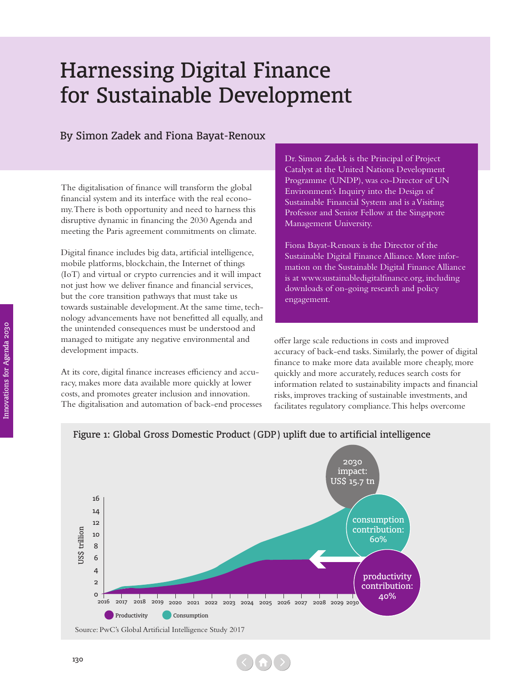## Harnessing Digital Finance for Sustainable Development

## By Simon Zadek and Fiona Bayat-Renoux

The digitalisation of finance will transform the global financial system and its interface with the real economy. There is both opportunity and need to harness this disruptive dynamic in financing the 2030 Agenda and meeting the Paris agreement commitments on climate.

Digital finance includes big data, artificial intelligence, mobile platforms, blockchain, the Internet of things (IoT) and virtual or crypto currencies and it will impact not just how we deliver finance and financial services, but the core transition pathways that must take us towards sustainable development. At the same time, technology advancements have not benefitted all equally, and the unintended consequences must be understood and managed to mitigate any negative environmental and development impacts.

At its core, digital finance increases efficiency and accuracy, makes more data available more quickly at lower costs, and promotes greater inclusion and innovation. The digitalisation and automation of back-end processes Dr. Simon Zadek is the Principal of Project Catalyst at the United Nations Development Programme (UNDP), was co-Director of UN Environment's Inquiry into the Design of Sustainable Financial System and is a Visiting Professor and Senior Fellow at the Singapore Management University.

Fiona Bayat-Renoux is the Director of the Sustainable Digital Finance Alliance. More information on the Sustainable Digital Finance Alliance is at www.sustainabledigitalfinance.org, including downloads of on-going research and policy engagement.

offer large scale reductions in costs and improved accuracy of back-end tasks. Similarly, the power of digital finance to make more data available more cheaply, more quickly and more accurately, reduces search costs for information related to sustainability impacts and financial risks, improves tracking of sustainable investments, and facilitates regulatory compliance. This helps overcome



## Figure 1: Global Gross Domestic Product (GDP) uplift due to artificial intelligence

<sup>130</sup>